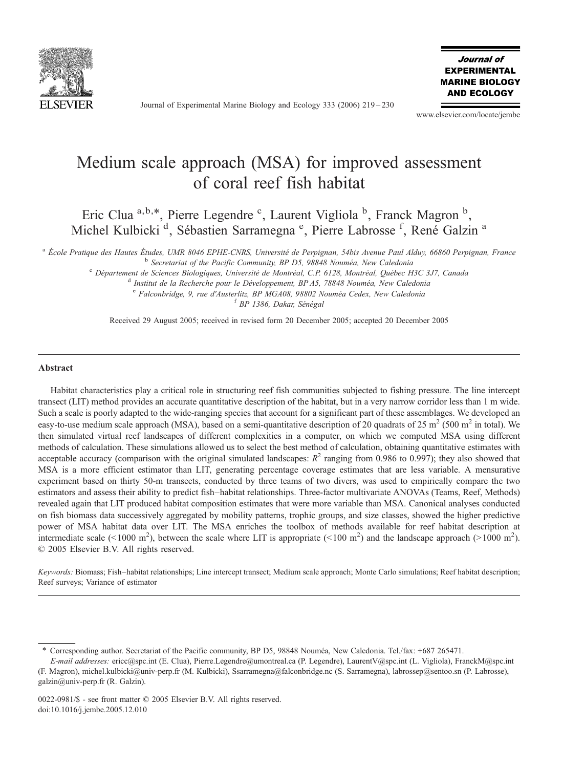

Journal of Experimental Marine Biology and Ecology 333 (2006) 219–230

Journal of **EXPERIMENTAL MARINE BIOLOGY AND ECOLOGY** 

www.elsevier.com/locate/jembe

# Medium scale approach (MSA) for improved assessment of coral reef fish habitat

Eric Clua<sup>a,b,\*</sup>, Pierre Legendre<sup>c</sup>, Laurent Vigliola<sup>b</sup>, Franck Magron<sup>b</sup>, Michel Kulbicki<sup>d</sup>, Sébastien Sarramegna<sup>e</sup>, Pierre Labrosse<sup>f</sup>, René Galzin<sup>a</sup>

<sup>a</sup> École Pratique des Hautes Études, UMR 8046 EPHE-CNRS, Université de Perpignan, 54bis Avenue Paul Alduy, 66860 Perpignan, France<br><sup>b</sup> Secretariat of the Pacific Community, BP D5, 98848 Nouméa, New Caledonia<br><sup>c</sup> Départeme

<sup>e</sup> Falconbridge, 9, rue d'Austerlitz, BP MGA08, 98802 Nouméa Cedex, New Caledonia <sup>f</sup> BP 1386, Dakar, Sénégal

Received 29 August 2005; received in revised form 20 December 2005; accepted 20 December 2005

#### Abstract

Habitat characteristics play a critical role in structuring reef fish communities subjected to fishing pressure. The line intercept transect (LIT) method provides an accurate quantitative description of the habitat, but in a very narrow corridor less than 1 m wide. Such a scale is poorly adapted to the wide-ranging species that account for a significant part of these assemblages. We developed an easy-to-use medium scale approach (MSA), based on a semi-quantitative description of 20 quadrats of 25 m<sup>2</sup> (500 m<sup>2</sup> in total). We then simulated virtual reef landscapes of different complexities in a computer, on which we computed MSA using different methods of calculation. These simulations allowed us to select the best method of calculation, obtaining quantitative estimates with acceptable accuracy (comparison with the original simulated landscapes:  $R^2$  ranging from 0.986 to 0.997); they also showed that MSA is a more efficient estimator than LIT, generating percentage coverage estimates that are less variable. A mensurative experiment based on thirty 50-m transects, conducted by three teams of two divers, was used to empirically compare the two estimators and assess their ability to predict fish–habitat relationships. Three-factor multivariate ANOVAs (Teams, Reef, Methods) revealed again that LIT produced habitat composition estimates that were more variable than MSA. Canonical analyses conducted on fish biomass data successively aggregated by mobility patterns, trophic groups, and size classes, showed the higher predictive power of MSA habitat data over LIT. The MSA enriches the toolbox of methods available for reef habitat description at intermediate scale (<1000 m<sup>2</sup>), between the scale where LIT is appropriate (<100 m<sup>2</sup>) and the landscape approach (>1000 m<sup>2</sup>). © 2005 Elsevier B.V. All rights reserved.

Keywords: Biomass; Fish–habitat relationships; Line intercept transect; Medium scale approach; Monte Carlo simulations; Reef habitat description; Reef surveys; Variance of estimator

<sup>⁎</sup> Corresponding author. Secretariat of the Pacific community, BP D5, 98848 Nouméa, New Caledonia. Tel./fax: +687 265471.

E-mail addresses: ericc@spc.int (E. Clua), Pierre.Legendre@umontreal.ca (P. Legendre), LaurentV@spc.int (L. Vigliola), FranckM@spc.int (F. Magron), michel.kulbicki@univ-perp.fr (M. Kulbicki), Ssarramegna@falconbridge.nc (S. Sarramegna), labrossep@sentoo.sn (P. Labrosse), galzin@univ-perp.fr (R. Galzin).

<sup>0022-0981/\$ -</sup> see front matter © 2005 Elsevier B.V. All rights reserved. doi:10.1016/j.jembe.2005.12.010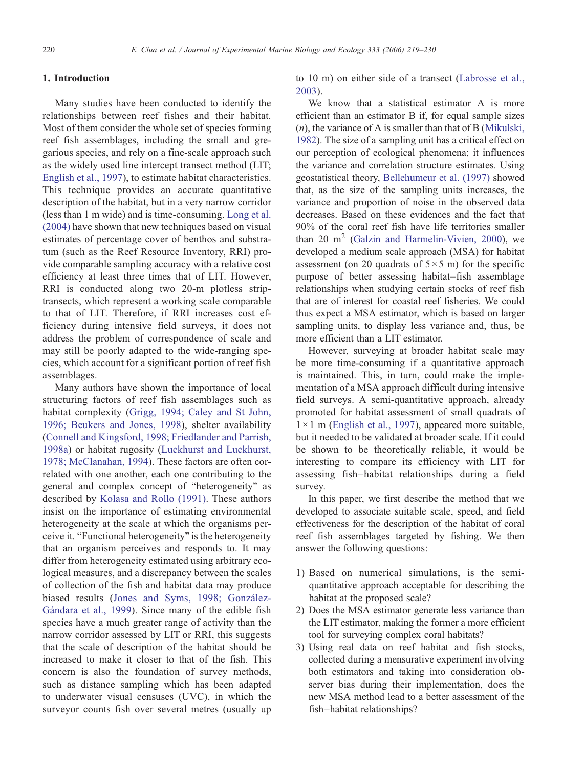# 1. Introduction

Many studies have been conducted to identify the relationships between reef fishes and their habitat. Most of them consider the whole set of species forming reef fish assemblages, including the small and gregarious species, and rely on a fine-scale approach such as the widely used line intercept transect method (LIT; [English et al., 1997\)](#page-10-0), to estimate habitat characteristics. This technique provides an accurate quantitative description of the habitat, but in a very narrow corridor (less than 1 m wide) and is time-consuming. [Long et al.](#page-11-0) [\(2004\)](#page-11-0) have shown that new techniques based on visual estimates of percentage cover of benthos and substratum (such as the Reef Resource Inventory, RRI) provide comparable sampling accuracy with a relative cost efficiency at least three times that of LIT. However, RRI is conducted along two 20-m plotless striptransects, which represent a working scale comparable to that of LIT. Therefore, if RRI increases cost efficiency during intensive field surveys, it does not address the problem of correspondence of scale and may still be poorly adapted to the wide-ranging species, which account for a significant portion of reef fish assemblages.

Many authors have shown the importance of local structuring factors of reef fish assemblages such as habitat complexity [\(Grigg, 1994; Caley and St John,](#page-10-0) [1996; Beukers and Jones, 1998](#page-10-0)), shelter availability [\(Connell and Kingsford, 1998; Friedlander and Parrish,](#page-10-0) [1998a\)](#page-10-0) or habitat rugosity ([Luckhurst and Luckhurst,](#page-11-0) [1978; McClanahan, 1994\)](#page-11-0). These factors are often correlated with one another, each one contributing to the general and complex concept of "heterogeneity" as described by [Kolasa and Rollo \(1991\)](#page-11-0). These authors insist on the importance of estimating environmental heterogeneity at the scale at which the organisms perceive it. "Functional heterogeneity" is the heterogeneity that an organism perceives and responds to. It may differ from heterogeneity estimated using arbitrary ecological measures, and a discrepancy between the scales of collection of the fish and habitat data may produce biased results ([Jones and Syms, 1998; González-](#page-11-0)[Gándara et al., 1999](#page-11-0)). Since many of the edible fish species have a much greater range of activity than the narrow corridor assessed by LIT or RRI, this suggests that the scale of description of the habitat should be increased to make it closer to that of the fish. This concern is also the foundation of survey methods, such as distance sampling which has been adapted to underwater visual censuses (UVC), in which the surveyor counts fish over several metres (usually up to 10 m) on either side of a transect [\(Labrosse et al.,](#page-11-0) [2003\)](#page-11-0).

We know that a statistical estimator A is more efficient than an estimator B if, for equal sample sizes  $(n)$ , the variance of A is smaller than that of B [\(Mikulski,](#page-11-0) [1982](#page-11-0)). The size of a sampling unit has a critical effect on our perception of ecological phenomena; it influences the variance and correlation structure estimates. Using geostatistical theory, [Bellehumeur et al. \(1997\)](#page-10-0) showed that, as the size of the sampling units increases, the variance and proportion of noise in the observed data decreases. Based on these evidences and the fact that 90% of the coral reef fish have life territories smaller than 20  $m<sup>2</sup>$  ([Galzin and Harmelin-Vivien, 2000\)](#page-10-0), we developed a medium scale approach (MSA) for habitat assessment (on 20 quadrats of  $5 \times 5$  m) for the specific purpose of better assessing habitat–fish assemblage relationships when studying certain stocks of reef fish that are of interest for coastal reef fisheries. We could thus expect a MSA estimator, which is based on larger sampling units, to display less variance and, thus, be more efficient than a LIT estimator.

However, surveying at broader habitat scale may be more time-consuming if a quantitative approach is maintained. This, in turn, could make the implementation of a MSA approach difficult during intensive field surveys. A semi-quantitative approach, already promoted for habitat assessment of small quadrats of  $1 \times 1$  m ([English et al., 1997\)](#page-10-0), appeared more suitable, but it needed to be validated at broader scale. If it could be shown to be theoretically reliable, it would be interesting to compare its efficiency with LIT for assessing fish–habitat relationships during a field survey.

In this paper, we first describe the method that we developed to associate suitable scale, speed, and field effectiveness for the description of the habitat of coral reef fish assemblages targeted by fishing. We then answer the following questions:

- 1) Based on numerical simulations, is the semiquantitative approach acceptable for describing the habitat at the proposed scale?
- 2) Does the MSA estimator generate less variance than the LIT estimator, making the former a more efficient tool for surveying complex coral habitats?
- 3) Using real data on reef habitat and fish stocks, collected during a mensurative experiment involving both estimators and taking into consideration observer bias during their implementation, does the new MSA method lead to a better assessment of the fish–habitat relationships?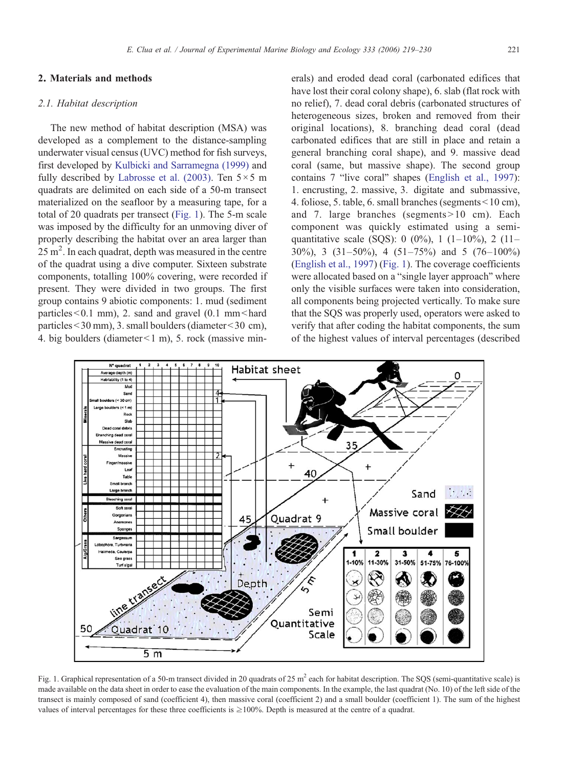## 2.1. Habitat description

The new method of habitat description (MSA) was developed as a complement to the distance-sampling underwater visual census (UVC) method for fish surveys, first developed by [Kulbicki and Sarramegna \(1999\)](#page-11-0) and fully described by [Labrosse et al. \(2003\)](#page-11-0). Ten  $5 \times 5$  m quadrats are delimited on each side of a 50-m transect materialized on the seafloor by a measuring tape, for a total of 20 quadrats per transect (Fig. 1). The 5-m scale was imposed by the difficulty for an unmoving diver of properly describing the habitat over an area larger than  $25 \text{ m}^2$ . In each quadrat, depth was measured in the centre of the quadrat using a dive computer. Sixteen substrate components, totalling 100% covering, were recorded if present. They were divided in two groups. The first group contains 9 abiotic components: 1. mud (sediment particles $< 0.1$  mm), 2. sand and gravel (0.1 mm $<$ hard particles  $<$  30 mm), 3. small boulders (diameter $<$  30 cm), 4. big boulders (diameter $\leq$ 1 m), 5. rock (massive minerals) and eroded dead coral (carbonated edifices that have lost their coral colony shape), 6. slab (flat rock with no relief), 7. dead coral debris (carbonated structures of heterogeneous sizes, broken and removed from their original locations), 8. branching dead coral (dead carbonated edifices that are still in place and retain a general branching coral shape), and 9. massive dead coral (same, but massive shape). The second group contains 7 "live coral" shapes ([English et al., 1997](#page-10-0)): 1. encrusting, 2. massive, 3. digitate and submassive, 4. foliose, 5. table, 6. small branches (segments  $\leq 10$  cm), and 7. large branches (segments  $> 10$  cm). Each component was quickly estimated using a semiquantitative scale (SQS): 0 (0%), 1 (1–10%), 2 (11– 30%), 3 (31–50%), 4 (51–75%) and 5 (76–100%) [\(English et al., 1997\)](#page-10-0) (Fig. 1). The coverage coefficients were allocated based on a "single layer approach" where only the visible surfaces were taken into consideration, all components being projected vertically. To make sure that the SQS was properly used, operators were asked to verify that after coding the habitat components, the sum of the highest values of interval percentages (described



Fig. 1. Graphical representation of a 50-m transect divided in 20 quadrats of 25 m<sup>2</sup> each for habitat description. The SOS (semi-quantitative scale) is made available on the data sheet in order to ease the evaluation of the main components. In the example, the last quadrat (No. 10) of the left side of the transect is mainly composed of sand (coefficient 4), then massive coral (coefficient 2) and a small boulder (coefficient 1). The sum of the highest values of interval percentages for these three coefficients is  $\geq 100\%$ . Depth is measured at the centre of a quadrat.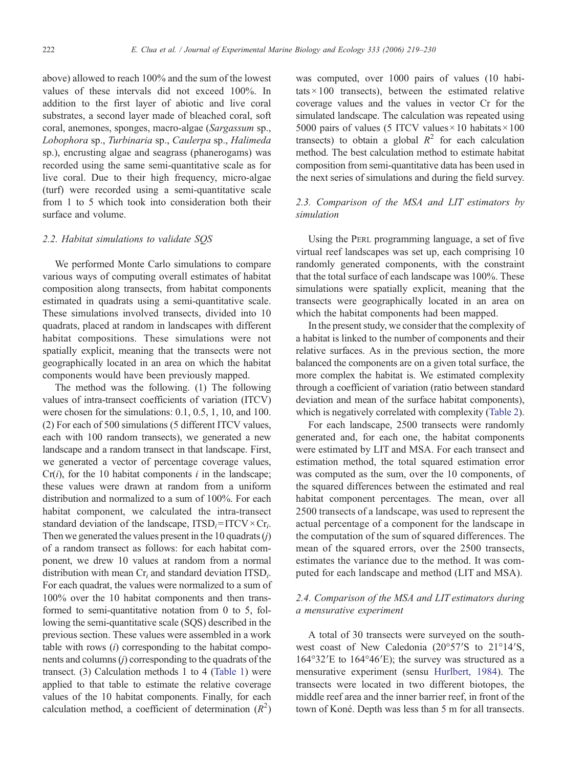above) allowed to reach 100% and the sum of the lowest values of these intervals did not exceed 100%. In addition to the first layer of abiotic and live coral substrates, a second layer made of bleached coral, soft coral, anemones, sponges, macro-algae (Sargassum sp., Lobophora sp., Turbinaria sp., Caulerpa sp., Halimeda sp.), encrusting algae and seagrass (phanerogams) was recorded using the same semi-quantitative scale as for live coral. Due to their high frequency, micro-algae (turf) were recorded using a semi-quantitative scale from 1 to 5 which took into consideration both their surface and volume.

## 2.2. Habitat simulations to validate SQS

We performed Monte Carlo simulations to compare various ways of computing overall estimates of habitat composition along transects, from habitat components estimated in quadrats using a semi-quantitative scale. These simulations involved transects, divided into 10 quadrats, placed at random in landscapes with different habitat compositions. These simulations were not spatially explicit, meaning that the transects were not geographically located in an area on which the habitat components would have been previously mapped.

The method was the following. (1) The following values of intra-transect coefficients of variation (ITCV) were chosen for the simulations: 0.1, 0.5, 1, 10, and 100. (2) For each of 500 simulations (5 different ITCV values, each with 100 random transects), we generated a new landscape and a random transect in that landscape. First, we generated a vector of percentage coverage values,  $Cr(i)$ , for the 10 habitat components *i* in the landscape; these values were drawn at random from a uniform distribution and normalized to a sum of 100%. For each habitat component, we calculated the intra-transect standard deviation of the landscape,  $ITSD_i= ITCV \times Cr_i$ . Then we generated the values present in the 10 quadrats  $(i)$ of a random transect as follows: for each habitat component, we drew 10 values at random from a normal distribution with mean  $Cr_i$  and standard deviation  $ITSD_i$ . For each quadrat, the values were normalized to a sum of 100% over the 10 habitat components and then transformed to semi-quantitative notation from 0 to 5, following the semi-quantitative scale (SQS) described in the previous section. These values were assembled in a work table with rows  $(i)$  corresponding to the habitat components and columns (j) corresponding to the quadrats of the transect. (3) Calculation methods 1 to 4 [\(Table 1\)](#page-4-0) were applied to that table to estimate the relative coverage values of the 10 habitat components. Finally, for each calculation method, a coefficient of determination  $(R^2)$ 

was computed, over 1000 pairs of values (10 habitats  $\times$  100 transects), between the estimated relative coverage values and the values in vector Cr for the simulated landscape. The calculation was repeated using 5000 pairs of values (5 ITCV values  $\times$  10 habitats  $\times$  100 transects) to obtain a global  $R^2$  for each calculation method. The best calculation method to estimate habitat composition from semi-quantitative data has been used in the next series of simulations and during the field survey.

## 2.3. Comparison of the MSA and LIT estimators by simulation

Using the PERL programming language, a set of five virtual reef landscapes was set up, each comprising 10 randomly generated components, with the constraint that the total surface of each landscape was 100%. These simulations were spatially explicit, meaning that the transects were geographically located in an area on which the habitat components had been mapped.

In the present study, we consider that the complexity of a habitat is linked to the number of components and their relative surfaces. As in the previous section, the more balanced the components are on a given total surface, the more complex the habitat is. We estimated complexity through a coefficient of variation (ratio between standard deviation and mean of the surface habitat components), which is negatively correlated with complexity [\(Table 2\)](#page-4-0).

For each landscape, 2500 transects were randomly generated and, for each one, the habitat components were estimated by LIT and MSA. For each transect and estimation method, the total squared estimation error was computed as the sum, over the 10 components, of the squared differences between the estimated and real habitat component percentages. The mean, over all 2500 transects of a landscape, was used to represent the actual percentage of a component for the landscape in the computation of the sum of squared differences. The mean of the squared errors, over the 2500 transects, estimates the variance due to the method. It was computed for each landscape and method (LIT and MSA).

# 2.4. Comparison of the MSA and LIT estimators during a mensurative experiment

A total of 30 transects were surveyed on the southwest coast of New Caledonia (20°57′S to 21°14′S, 164°32′E to 164°46′E); the survey was structured as a mensurative experiment (sensu [Hurlbert, 1984](#page-11-0)). The transects were located in two different biotopes, the middle reef area and the inner barrier reef, in front of the town of Koné. Depth was less than 5 m for all transects.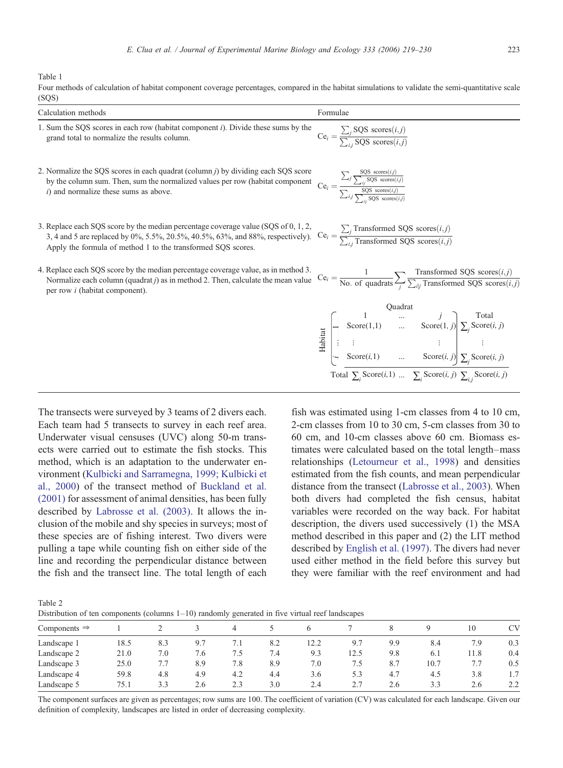<span id="page-4-0"></span>Table 1

| Four methods of calculation of habitat component coverage percentages, compared in the habitat simulations to validate the semi-quantitative scale |  |
|----------------------------------------------------------------------------------------------------------------------------------------------------|--|
| (SOS)                                                                                                                                              |  |

| Calculation methods                                                                                                                                                                                                                                                                                                                                                          | Formulae                                                                           |
|------------------------------------------------------------------------------------------------------------------------------------------------------------------------------------------------------------------------------------------------------------------------------------------------------------------------------------------------------------------------------|------------------------------------------------------------------------------------|
| 1. Sum the SQS scores in each row (habitat component i). Divide these sums by the<br>grand total to normalize the results column.                                                                                                                                                                                                                                            | $Ce_i = \frac{\sum_j SQS \text{ scores}(i,j)}{\sum_{i,j} SQS \text{ scores}(i,j)}$ |
| 2. Normalize the SQS scores in each quadrat (column <i>i</i> ) by dividing each SQS score<br>Normalize the SQS scores in each quadrat (column <i>j</i> ) by dividing each SQS score<br>by the column sum. Then, sum the normalized values per row (habitat component<br><i>i</i> ) and normalize these sums as above.<br>$Ce_i = \frac{\sum_j \frac{SQS \, \text{scores}(ij$ |                                                                                    |
| 3. Replace each SQS score by the median percentage coverage value (SQS of 0, 1, 2,<br>Replace each SQS score by the median percentage coverage value (SQS of 0, 1, 2,<br>3, 4 and 5 are replaced by 0%, 5.5%, 20.5%, 40.5%, 63%, and 88%, respectively). $Ce_i = \frac{\sum_j Transformed SQS scores(i,j)}{\sum_i Transformed SOS scores(i,i)}$                              |                                                                                    |

4. Replace each SQS score by the median percentage coverage value, as in method 3. Normalize each column (quadrat  $j$ ) as in method 2. Then, calculate the mean value per row i (habitat component).

Apply the formula of method 1 to the transformed SQS scores.

$$
\text{Ce}_i = \frac{\sum_j \text{Transformed SQS scores}(i,j)}{\sum_{i,j} \text{Transformed SQS scores}(i,j)}
$$

$$
Ce_{i} = \frac{1}{No. of quadrats} \sum_{j} \frac{\text{Transformed SQS scores}(i,j)}{\sum_{i|j} \text{Transformed SQS scores}(i,j)}
$$
\n
$$
\frac{Quadrats}{\sum_{j} \sum_{i|j} \text{Transformed SQS scores}(i,j)}
$$
\n
$$
\frac{1}{\sum_{i} \text{Score}(1,1)} \quad \dots \quad \text{Score}(1, j) \sum_{j} \text{Score}(i, j)
$$
\n
$$
\frac{1}{\sum_{i} \text{Score}(i,1)} \quad \dots \quad \text{Score}(i, j) \sum_{j} \text{Score}(i, j)
$$
\n
$$
\text{Total } \sum_{i} \text{Score}(i,1) \quad \dots \quad \sum_{i} \text{Score}(i, j) \sum_{i,j} \text{Score}(i, j)
$$

 $T_{\text{max}}$   $\mathcal{L}_{\text{max}}$  of  $\mathcal{L}_{\text{max}}$  subset  $\mathcal{L}_{\text{max}}$ 

The transects were surveyed by 3 teams of 2 divers each. Each team had 5 transects to survey in each reef area. Underwater visual censuses (UVC) along 50-m transects were carried out to estimate the fish stocks. This method, which is an adaptation to the underwater environment [\(Kulbicki and Sarramegna, 1999; Kulbicki et](#page-11-0) [al., 2000\)](#page-11-0) of the transect method of [Buckland et al.](#page-10-0) [\(2001\)](#page-10-0) for assessment of animal densities, has been fully described by [Labrosse et al. \(2003\)](#page-11-0). It allows the inclusion of the mobile and shy species in surveys; most of these species are of fishing interest. Two divers were pulling a tape while counting fish on either side of the line and recording the perpendicular distance between the fish and the transect line. The total length of each

fish was estimated using 1-cm classes from 4 to 10 cm, 2-cm classes from 10 to 30 cm, 5-cm classes from 30 to 60 cm, and 10-cm classes above 60 cm. Biomass estimates were calculated based on the total length–mass relationships ([Letourneur et al., 1998](#page-11-0)) and densities estimated from the fish counts, and mean perpendicular distance from the transect [\(Labrosse et al., 2003](#page-11-0)). When both divers had completed the fish census, habitat variables were recorded on the way back. For habitat description, the divers used successively (1) the MSA method described in this paper and (2) the LIT method described by [English et al. \(1997\)](#page-10-0). The divers had never used either method in the field before this survey but they were familiar with the reef environment and had

Table 2

Distribution of ten components (columns 1–10) randomly generated in five virtual reef landscapes

| Components $\Rightarrow$ |      |     |     | 4   |     |      |      |     |      | 10   | <b>CV</b> |
|--------------------------|------|-----|-----|-----|-----|------|------|-----|------|------|-----------|
| Landscape 1              | 18.5 | 8.3 |     | 7.1 | 8.2 | 12.2 | 9.7  | 9.9 | 8.4  | 7.9  | 0.3       |
| Landscape 2              | 21.0 | 7.0 | 7.6 | 1.5 | 7.4 | 9.3  | 12.5 | 9.8 | 6.1  | 11.8 | 0.4       |
| Landscape 3              | 25.0 | 7.7 | 8.9 | 7.8 | 8.9 | 7.0  | 7.5  | 8.7 | 10.7 | 7.7  | 0.5       |
| Landscape 4              | 59.8 | 4.8 | 4.9 | 4.2 | 4.4 | 3.6  | 5.3  | 4.7 | 4.5  | 3.8  | 1.7       |
| Landscape 5              | 75.1 | 3.3 | 2.6 | 2.3 | 3.0 | 2.4  |      | 2.6 | 3.3  | 2.6  | 2.2       |
|                          |      |     |     |     |     |      |      |     |      |      |           |

The component surfaces are given as percentages; row sums are 100. The coefficient of variation (CV) was calculated for each landscape. Given our definition of complexity, landscapes are listed in order of decreasing complexity.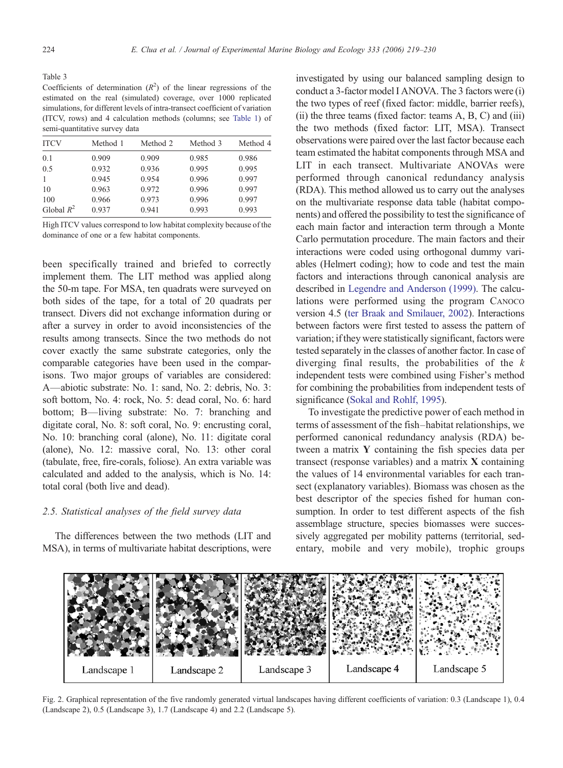<span id="page-5-0"></span>Table 3

Coefficients of determination  $(R^2)$  of the linear regressions of the estimated on the real (simulated) coverage, over 1000 replicated simulations, for different levels of intra-transect coefficient of variation (ITCV, rows) and 4 calculation methods (columns; see [Table 1\)](#page-4-0) of semi-quantitative survey data

| <b>ITCV</b>  | Method 1 | Method 2 | Method 3 | Method 4 |
|--------------|----------|----------|----------|----------|
| 0.1          | 0.909    | 0.909    | 0.985    | 0.986    |
| 0.5          | 0.932    | 0.936    | 0.995    | 0.995    |
|              | 0.945    | 0.954    | 0.996    | 0.997    |
| 10           | 0.963    | 0.972    | 0.996    | 0.997    |
| 100          | 0.966    | 0.973    | 0.996    | 0.997    |
| Global $R^2$ | 0.937    | 0.941    | 0.993    | 0.993    |

High ITCV values correspond to low habitat complexity because of the dominance of one or a few habitat components.

been specifically trained and briefed to correctly implement them. The LIT method was applied along the 50-m tape. For MSA, ten quadrats were surveyed on both sides of the tape, for a total of 20 quadrats per transect. Divers did not exchange information during or after a survey in order to avoid inconsistencies of the results among transects. Since the two methods do not cover exactly the same substrate categories, only the comparable categories have been used in the comparisons. Two major groups of variables are considered: A—abiotic substrate: No. 1: sand, No. 2: debris, No. 3: soft bottom, No. 4: rock, No. 5: dead coral, No. 6: hard bottom; B—living substrate: No. 7: branching and digitate coral, No. 8: soft coral, No. 9: encrusting coral, No. 10: branching coral (alone), No. 11: digitate coral (alone), No. 12: massive coral, No. 13: other coral (tabulate, free, fire-corals, foliose). An extra variable was calculated and added to the analysis, which is No. 14: total coral (both live and dead).

## 2.5. Statistical analyses of the field survey data

The differences between the two methods (LIT and MSA), in terms of multivariate habitat descriptions, were

investigated by using our balanced sampling design to conduct a 3-factor model I ANOVA. The 3 factors were (i) the two types of reef (fixed factor: middle, barrier reefs),  $(ii)$  the three teams (fixed factor: teams  $A, B, C$ ) and  $(iii)$ the two methods (fixed factor: LIT, MSA). Transect observations were paired over the last factor because each team estimated the habitat components through MSA and LIT in each transect. Multivariate ANOVAs were performed through canonical redundancy analysis (RDA). This method allowed us to carry out the analyses on the multivariate response data table (habitat components) and offered the possibility to test the significance of each main factor and interaction term through a Monte Carlo permutation procedure. The main factors and their interactions were coded using orthogonal dummy variables (Helmert coding); how to code and test the main factors and interactions through canonical analysis are described in [Legendre and Anderson \(1999\)](#page-11-0). The calculations were performed using the program CANOCO version 4.5 ([ter Braak and Smilauer, 2002](#page-11-0)). Interactions between factors were first tested to assess the pattern of variation; if they were statistically significant, factors were tested separately in the classes of another factor. In case of diverging final results, the probabilities of the  $k$ independent tests were combined using Fisher's method for combining the probabilities from independent tests of significance [\(Sokal and Rohlf, 1995\)](#page-11-0).

To investigate the predictive power of each method in terms of assessment of the fish–habitat relationships, we performed canonical redundancy analysis (RDA) between a matrix Y containing the fish species data per transect (response variables) and a matrix  $X$  containing the values of 14 environmental variables for each transect (explanatory variables). Biomass was chosen as the best descriptor of the species fished for human consumption. In order to test different aspects of the fish assemblage structure, species biomasses were successively aggregated per mobility patterns (territorial, sedentary, mobile and very mobile), trophic groups



Fig. 2. Graphical representation of the five randomly generated virtual landscapes having different coefficients of variation: 0.3 (Landscape 1), 0.4 (Landscape 2), 0.5 (Landscape 3), 1.7 (Landscape 4) and 2.2 (Landscape 5).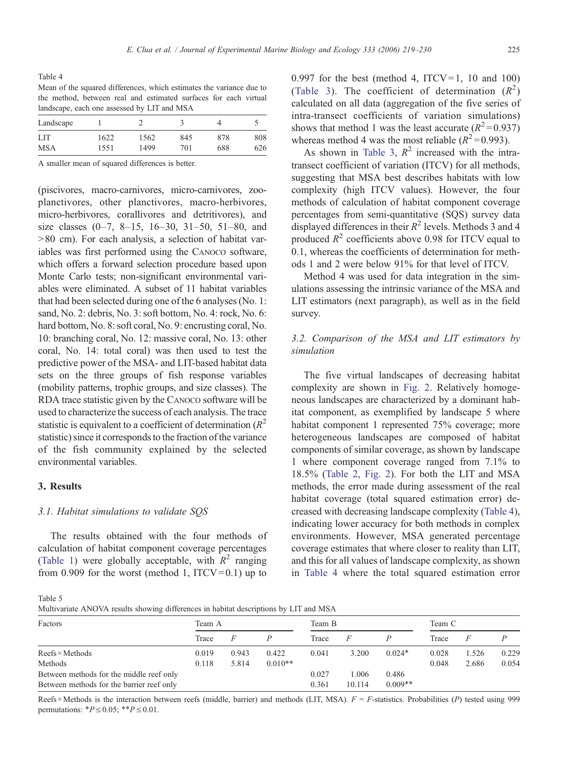<span id="page-6-0"></span>Table 4 Mean of the squared differences, which estimates the variance due to the method, between real and estimated surfaces for each virtual landscape, each one assessed by LIT and MSA

| Landscape  |      |      |     |     |     |
|------------|------|------|-----|-----|-----|
| <b>LIT</b> | 1622 | 1562 | 845 | 878 | 808 |
| <b>MSA</b> | 1551 | 1499 | 701 | 688 | 626 |

A smaller mean of squared differences is better.

(piscivores, macro-carnivores, micro-carnivores, zooplanctivores, other planctivores, macro-herbivores, micro-herbivores, corallivores and detritivores), and size classes  $(0-7, 8-15, 16-30, 31-50, 51-80,$  and  $>80$  cm). For each analysis, a selection of habitat variables was first performed using the CANOCO software, which offers a forward selection procedure based upon Monte Carlo tests; non-significant environmental variables were eliminated. A subset of 11 habitat variables that had been selected during one of the 6 analyses (No. 1: sand, No. 2: debris, No. 3: soft bottom, No. 4: rock, No. 6: hard bottom, No. 8: soft coral, No. 9: encrusting coral, No. 10: branching coral, No. 12: massive coral, No. 13: other coral, No. 14: total coral) was then used to test the predictive power of the MSA- and LIT-based habitat data sets on the three groups of fish response variables (mobility patterns, trophic groups, and size classes). The RDA trace statistic given by the CANOCO software will be used to characterize the success of each analysis. The trace statistic is equivalent to a coefficient of determination  $(R^2)$ statistic) since it corresponds to the fraction of the variance of the fish community explained by the selected environmental variables.

## 3. Results

#### 3.1. Habitat simulations to validate SQS

The results obtained with the four methods of calculation of habitat component coverage percentages [\(Table 1\)](#page-4-0) were globally acceptable, with  $R^2$  ranging from 0.909 for the worst (method 1,  $ITCV = 0.1$ ) up to 0.997 for the best (method 4,  $ITCV=1$ , 10 and 100) [\(Table 3](#page-5-0)). The coefficient of determination  $(R^2)$ calculated on all data (aggregation of the five series of intra-transect coefficients of variation simulations) shows that method 1 was the least accurate  $(R^2=0.937)$ whereas method 4 was the most reliable  $(R^2=0.993)$ .

As shown in [Table 3,](#page-5-0)  $R^2$  increased with the intratransect coefficient of variation (ITCV) for all methods, suggesting that MSA best describes habitats with low complexity (high ITCV values). However, the four methods of calculation of habitat component coverage percentages from semi-quantitative (SQS) survey data displayed differences in their  $R^2$  levels. Methods 3 and 4 produced  $R^2$  coefficients above 0.98 for ITCV equal to 0.1, whereas the coefficients of determination for methods 1 and 2 were below 91% for that level of ITCV.

Method 4 was used for data integration in the simulations assessing the intrinsic variance of the MSA and LIT estimators (next paragraph), as well as in the field survey.

# 3.2. Comparison of the MSA and LIT estimators by simulation

The five virtual landscapes of decreasing habitat complexity are shown in [Fig. 2.](#page-5-0) Relatively homogeneous landscapes are characterized by a dominant habitat component, as exemplified by landscape 5 where habitat component 1 represented 75% coverage; more heterogeneous landscapes are composed of habitat components of similar coverage, as shown by landscape 1 where component coverage ranged from 7.1% to 18.5% [\(Table 2](#page-4-0), [Fig. 2\)](#page-5-0). For both the LIT and MSA methods, the error made during assessment of the real habitat coverage (total squared estimation error) decreased with decreasing landscape complexity (Table 4), indicating lower accuracy for both methods in complex environments. However, MSA generated percentage coverage estimates that where closer to reality than LIT, and this for all values of landscape complexity, as shown in Table 4 where the total squared estimation error

Table 5

Multivariate ANOVA results showing differences in habitat descriptions by LIT and MSA

| Factors                                   | Team A |       |           | Team B |        |           | Team C |       |       |
|-------------------------------------------|--------|-------|-----------|--------|--------|-----------|--------|-------|-------|
|                                           | Trace  |       |           | Trace  | F      |           | Trace  |       |       |
| $Reefs \times Methods$                    | 0.019  | 0.943 | 0.422     | 0.041  | 3.200  | $0.024*$  | 0.028  | 1.526 | 0.229 |
| Methods                                   | 0.118  | 5.814 | $0.010**$ |        |        |           | 0.048  | 2.686 | 0.054 |
| Between methods for the middle reef only  |        |       |           | 0.027  | 1.006  | 0.486     |        |       |       |
| Between methods for the barrier reef only |        |       |           | 0.361  | 10.114 | $0.009**$ |        |       |       |

Reefs × Methods is the interaction between reefs (middle, barrier) and methods (LIT, MSA).  $F = F$ -statistics. Probabilities (P) tested using 999 permutations:  $*P \le 0.05$ ;  $**P \le 0.01$ .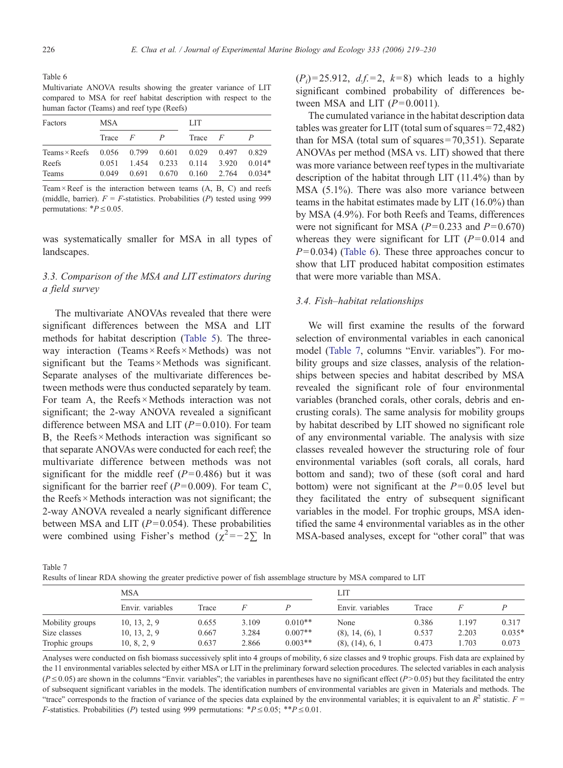<span id="page-7-0"></span>Table 6 Multivariate ANOVA results showing the greater variance of LIT compared to MSA for reef habitat description with respect to the human factor (Teams) and reef type (Reefs)

| Factors              | MSA   |                |       | LIT   |       |          |  |
|----------------------|-------|----------------|-------|-------|-------|----------|--|
|                      | Trace | $\overline{F}$ |       | Trace | F     |          |  |
| Teams $\times$ Reefs | 0.056 | 0.799          | 0.601 | 0.029 | 0.497 | 0.829    |  |
| Reefs                | 0.051 | 1454           | 0.233 | 0.114 | 3.920 | $0.014*$ |  |
| Teams                | 0.049 | 0.691          | 0.670 | 0.160 | 2.764 | $0.034*$ |  |

Team  $\times$  Reef is the interaction between teams  $(A, B, C)$  and reefs (middle, barrier).  $F = F$ -statistics. Probabilities (P) tested using 999 permutations:  $*P \leq 0.05$ .

was systematically smaller for MSA in all types of landscapes.

# 3.3. Comparison of the MSA and LIT estimators during a field survey

The multivariate ANOVAs revealed that there were significant differences between the MSA and LIT methods for habitat description [\(Table 5](#page-6-0)). The threeway interaction (Teams  $\times$  Reefs  $\times$  Methods) was not significant but the Teams ×Methods was significant. Separate analyses of the multivariate differences between methods were thus conducted separately by team. For team A, the Reefs $\times$ Methods interaction was not significant; the 2-way ANOVA revealed a significant difference between MSA and LIT  $(P= 0.010)$ . For team B, the Reefs  $\times$  Methods interaction was significant so that separate ANOVAs were conducted for each reef; the multivariate difference between methods was not significant for the middle reef  $(P= 0.486)$  but it was significant for the barrier reef ( $P= 0.009$ ). For team C, the Reefs $\times$ Methods interaction was not significant; the 2-way ANOVA revealed a nearly significant difference between MSA and LIT ( $P= 0.054$ ). These probabilities were combined using Fisher's method ( $\chi^2 = -2\Sigma$  ln

 $(P_i) = 25.912$ ,  $d.f. = 2$ ,  $k=8$ ) which leads to a highly significant combined probability of differences between MSA and LIT  $(P= 0.0011)$ .

The cumulated variance in the habitat description data tables was greater for LIT (total sum of squares = 72,482) than for MSA (total sum of squares = 70,351). Separate ANOVAs per method (MSA vs. LIT) showed that there was more variance between reef types in the multivariate description of the habitat through LIT (11.4%) than by MSA (5.1%). There was also more variance between teams in the habitat estimates made by LIT (16.0%) than by MSA (4.9%). For both Reefs and Teams, differences were not significant for MSA ( $P= 0.233$  and  $P= 0.670$ ) whereas they were significant for LIT  $(P= 0.014$  and  $P= 0.034$ ) (Table 6). These three approaches concur to show that LIT produced habitat composition estimates that were more variable than MSA.

#### 3.4. Fish–habitat relationships

We will first examine the results of the forward selection of environmental variables in each canonical model (Table 7, columns "Envir. variables"). For mobility groups and size classes, analysis of the relationships between species and habitat described by MSA revealed the significant role of four environmental variables (branched corals, other corals, debris and encrusting corals). The same analysis for mobility groups by habitat described by LIT showed no significant role of any environmental variable. The analysis with size classes revealed however the structuring role of four environmental variables (soft corals, all corals, hard bottom and sand); two of these (soft coral and hard bottom) were not significant at the  $P = 0.05$  level but they facilitated the entry of subsequent significant variables in the model. For trophic groups, MSA identified the same 4 environmental variables as in the other MSA-based analyses, except for "other coral" that was

Table 7 Results of linear RDA showing the greater predictive power of fish assemblage structure by MSA compared to LIT

|                 | <b>MSA</b>       |       |       | LIT       |                       |       |       |          |  |
|-----------------|------------------|-------|-------|-----------|-----------------------|-------|-------|----------|--|
|                 | Envir. variables | Trace |       |           | Envir. variables      | Trace |       |          |  |
| Mobility groups | 10, 13, 2, 9     | 0.655 | 3.109 | $0.010**$ | None                  | 0.386 | 1.197 | 0.317    |  |
| Size classes    | 10, 13, 2, 9     | 0.667 | 3.284 | $0.007**$ | $(8)$ , 14, $(6)$ , 1 | 0.537 | 2.203 | $0.035*$ |  |
| Trophic groups  | 10, 8, 2, 9      | 0.637 | 2.866 | $0.003**$ | $(8)$ , $(14)$ , 6, 1 | 0.473 | 1.703 | 0.073    |  |

Analyses were conducted on fish biomass successively split into 4 groups of mobility, 6 size classes and 9 trophic groups. Fish data are explained by the 11 environmental variables selected by either MSA or LIT in the preliminary forward selection procedures. The selected variables in each analysis  $(P \le 0.05)$  are shown in the columns "Envir. variables"; the variables in parentheses have no significant effect  $(P>0.05)$  but they facilitated the entry of subsequent significant variables in the models. The identification numbers of environmental variables are given in Materials and methods. The "trace" corresponds to the fraction of variance of the species data explained by the environmental variables; it is equivalent to an  $R^2$  statistic.  $F =$ F-statistics. Probabilities (P) tested using 999 permutations:  $*P \le 0.05$ ;  $**P \le 0.01$ .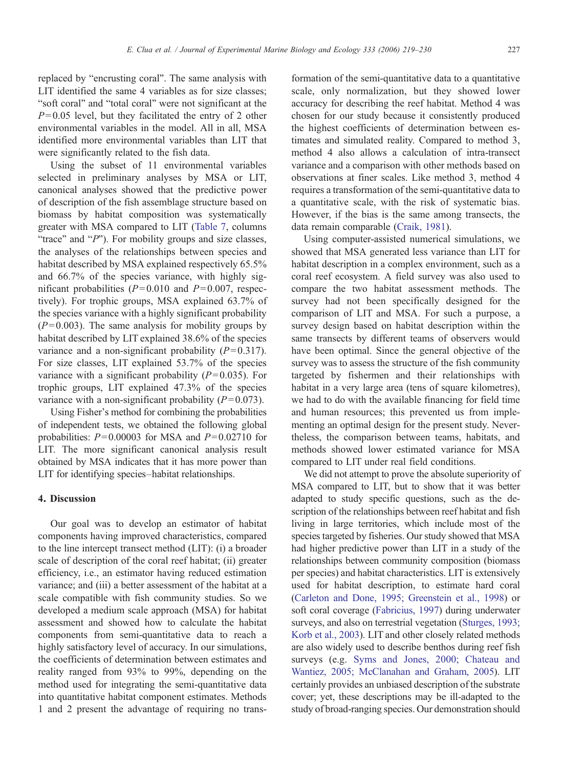replaced by "encrusting coral". The same analysis with LIT identified the same 4 variables as for size classes; "soft coral" and "total coral" were not significant at the  $P= 0.05$  level, but they facilitated the entry of 2 other environmental variables in the model. All in all, MSA identified more environmental variables than LIT that were significantly related to the fish data.

Using the subset of 11 environmental variables selected in preliminary analyses by MSA or LIT, canonical analyses showed that the predictive power of description of the fish assemblage structure based on biomass by habitat composition was systematically greater with MSA compared to LIT [\(Table 7,](#page-7-0) columns "trace" and " $P$ "). For mobility groups and size classes, the analyses of the relationships between species and habitat described by MSA explained respectively 65.5% and 66.7% of the species variance, with highly significant probabilities ( $P = 0.010$  and  $P = 0.007$ , respectively). For trophic groups, MSA explained 63.7% of the species variance with a highly significant probability  $(P= 0.003)$ . The same analysis for mobility groups by habitat described by LIT explained 38.6% of the species variance and a non-significant probability  $(P= 0.317)$ . For size classes, LIT explained 53.7% of the species variance with a significant probability  $(P= 0.035)$ . For trophic groups, LIT explained 47.3% of the species variance with a non-significant probability  $(P= 0.073)$ .

Using Fisher's method for combining the probabilities of independent tests, we obtained the following global probabilities:  $P = 0.00003$  for MSA and  $P = 0.02710$  for LIT. The more significant canonical analysis result obtained by MSA indicates that it has more power than LIT for identifying species–habitat relationships.

#### 4. Discussion

Our goal was to develop an estimator of habitat components having improved characteristics, compared to the line intercept transect method (LIT): (i) a broader scale of description of the coral reef habitat; (ii) greater efficiency, i.e., an estimator having reduced estimation variance; and (iii) a better assessment of the habitat at a scale compatible with fish community studies. So we developed a medium scale approach (MSA) for habitat assessment and showed how to calculate the habitat components from semi-quantitative data to reach a highly satisfactory level of accuracy. In our simulations, the coefficients of determination between estimates and reality ranged from 93% to 99%, depending on the method used for integrating the semi-quantitative data into quantitative habitat component estimates. Methods 1 and 2 present the advantage of requiring no trans-

formation of the semi-quantitative data to a quantitative scale, only normalization, but they showed lower accuracy for describing the reef habitat. Method 4 was chosen for our study because it consistently produced the highest coefficients of determination between estimates and simulated reality. Compared to method 3, method 4 also allows a calculation of intra-transect variance and a comparison with other methods based on observations at finer scales. Like method 3, method 4 requires a transformation of the semi-quantitative data to a quantitative scale, with the risk of systematic bias. However, if the bias is the same among transects, the data remain comparable ([Craik, 1981](#page-10-0)).

Using computer-assisted numerical simulations, we showed that MSA generated less variance than LIT for habitat description in a complex environment, such as a coral reef ecosystem. A field survey was also used to compare the two habitat assessment methods. The survey had not been specifically designed for the comparison of LIT and MSA. For such a purpose, a survey design based on habitat description within the same transects by different teams of observers would have been optimal. Since the general objective of the survey was to assess the structure of the fish community targeted by fishermen and their relationships with habitat in a very large area (tens of square kilometres), we had to do with the available financing for field time and human resources; this prevented us from implementing an optimal design for the present study. Nevertheless, the comparison between teams, habitats, and methods showed lower estimated variance for MSA compared to LIT under real field conditions.

We did not attempt to prove the absolute superiority of MSA compared to LIT, but to show that it was better adapted to study specific questions, such as the description of the relationships between reef habitat and fish living in large territories, which include most of the species targeted by fisheries. Our study showed that MSA had higher predictive power than LIT in a study of the relationships between community composition (biomass per species) and habitat characteristics. LIT is extensively used for habitat description, to estimate hard coral [\(Carleton and Done, 1995; Greenstein et al., 1998\)](#page-10-0) or soft coral coverage [\(Fabricius, 1997\)](#page-10-0) during underwater surveys, and also on terrestrial vegetation [\(Sturges, 1993;](#page-11-0) [Korb et al., 2003\)](#page-11-0). LIT and other closely related methods are also widely used to describe benthos during reef fish surveys (e.g. [Syms and Jones, 2000; Chateau and](#page-11-0) [Wantiez, 2005; McClanahan and Graham, 2005\)](#page-11-0). LIT certainly provides an unbiased description of the substrate cover; yet, these descriptions may be ill-adapted to the study of broad-ranging species. Our demonstration should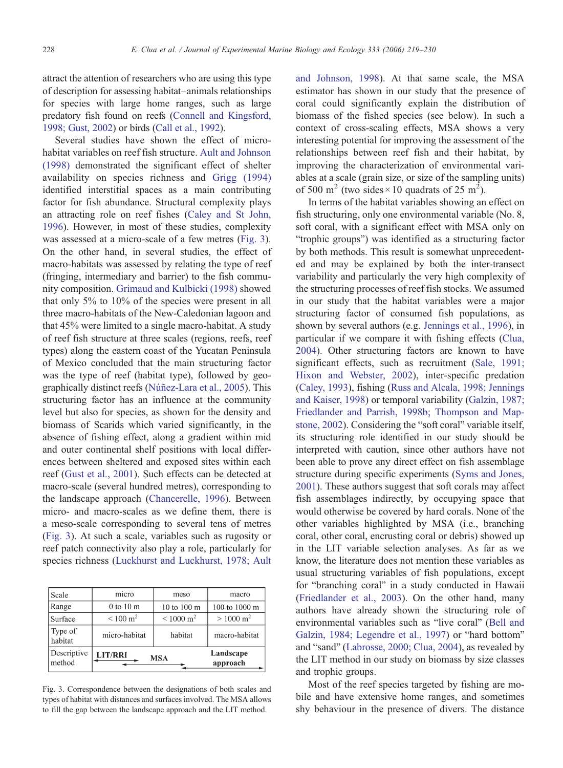<span id="page-9-0"></span>attract the attention of researchers who are using this type of description for assessing habitat–animals relationships for species with large home ranges, such as large predatory fish found on reefs [\(Connell and Kingsford,](#page-10-0) [1998; Gust, 2002\)](#page-10-0) or birds ([Call et al., 1992\)](#page-10-0).

Several studies have shown the effect of microhabitat variables on reef fish structure. [Ault and Johnson](#page-10-0) [\(1998\)](#page-10-0) demonstrated the significant effect of shelter availability on species richness and [Grigg \(1994\)](#page-10-0) identified interstitial spaces as a main contributing factor for fish abundance. Structural complexity plays an attracting role on reef fishes ([Caley and St John,](#page-10-0) [1996](#page-10-0)). However, in most of these studies, complexity was assessed at a micro-scale of a few metres (Fig. 3). On the other hand, in several studies, the effect of macro-habitats was assessed by relating the type of reef (fringing, intermediary and barrier) to the fish community composition. [Grimaud and Kulbicki \(1998\)](#page-10-0) showed that only 5% to 10% of the species were present in all three macro-habitats of the New-Caledonian lagoon and that 45% were limited to a single macro-habitat. A study of reef fish structure at three scales (regions, reefs, reef types) along the eastern coast of the Yucatan Peninsula of Mexico concluded that the main structuring factor was the type of reef (habitat type), followed by geographically distinct reefs ([Núñez-Lara et al., 2005\)](#page-11-0). This structuring factor has an influence at the community level but also for species, as shown for the density and biomass of Scarids which varied significantly, in the absence of fishing effect, along a gradient within mid and outer continental shelf positions with local differences between sheltered and exposed sites within each reef ([Gust et al., 2001](#page-11-0)). Such effects can be detected at macro-scale (several hundred metres), corresponding to the landscape approach [\(Chancerelle, 1996\)](#page-10-0). Between micro- and macro-scales as we define them, there is a meso-scale corresponding to several tens of metres (Fig. 3). At such a scale, variables such as rugosity or reef patch connectivity also play a role, particularly for species richness ([Luckhurst and Luckhurst, 1978; Ault](#page-11-0)

| Scale                 | micro           | meso                         | macro                 |
|-----------------------|-----------------|------------------------------|-----------------------|
| Range                 | 0 to 10 m       | 10 to 100 m                  | 100 to 1000 m         |
| Surface               | $\rm < 100~m^2$ | $\rm {\leq}\,1000~{\rm m^2}$ | $> 1000 \text{ m}^2$  |
| Type of<br>habitat    | micro-habitat   | habitat                      | macro-habitat         |
| Descriptive<br>method | <b>LIT/RRI</b>  | <b>MSA</b>                   | Landscape<br>approach |

Fig. 3. Correspondence between the designations of both scales and types of habitat with distances and surfaces involved. The MSA allows to fill the gap between the landscape approach and the LIT method.

[and Johnson, 1998](#page-11-0)). At that same scale, the MSA estimator has shown in our study that the presence of coral could significantly explain the distribution of biomass of the fished species (see below). In such a context of cross-scaling effects, MSA shows a very interesting potential for improving the assessment of the relationships between reef fish and their habitat, by improving the characterization of environmental variables at a scale (grain size, or size of the sampling units) of 500 m<sup>2</sup> (two sides  $\times$  10 quadrats of 25 m<sup>2</sup>).

In terms of the habitat variables showing an effect on fish structuring, only one environmental variable (No. 8, soft coral, with a significant effect with MSA only on "trophic groups") was identified as a structuring factor by both methods. This result is somewhat unprecedented and may be explained by both the inter-transect variability and particularly the very high complexity of the structuring processes of reef fish stocks. We assumed in our study that the habitat variables were a major structuring factor of consumed fish populations, as shown by several authors (e.g. [Jennings et al., 1996](#page-11-0)), in particular if we compare it with fishing effects [\(Clua,](#page-10-0) [2004](#page-10-0)). Other structuring factors are known to have significant effects, such as recruitment ([Sale, 1991;](#page-11-0) [Hixon and Webster, 2002](#page-11-0)), inter-specific predation [\(Caley, 1993\)](#page-10-0), fishing [\(Russ and Alcala, 1998; Jennings](#page-11-0) [and Kaiser, 1998](#page-11-0)) or temporal variability [\(Galzin, 1987;](#page-10-0) [Friedlander and Parrish, 1998b; Thompson and Map](#page-10-0)[stone, 2002\)](#page-10-0). Considering the "soft coral" variable itself, its structuring role identified in our study should be interpreted with caution, since other authors have not been able to prove any direct effect on fish assemblage structure during specific experiments ([Syms and Jones,](#page-11-0) [2001](#page-11-0)). These authors suggest that soft corals may affect fish assemblages indirectly, by occupying space that would otherwise be covered by hard corals. None of the other variables highlighted by MSA (i.e., branching coral, other coral, encrusting coral or debris) showed up in the LIT variable selection analyses. As far as we know, the literature does not mention these variables as usual structuring variables of fish populations, except for "branching coral" in a study conducted in Hawaii [\(Friedlander et al., 2003\)](#page-10-0). On the other hand, many authors have already shown the structuring role of environmental variables such as "live coral" [\(Bell and](#page-10-0) [Galzin, 1984; Legendre et al., 1997](#page-10-0)) or "hard bottom" and "sand" ([Labrosse, 2000; Clua, 2004](#page-11-0)), as revealed by the LIT method in our study on biomass by size classes and trophic groups.

Most of the reef species targeted by fishing are mobile and have extensive home ranges, and sometimes shy behaviour in the presence of divers. The distance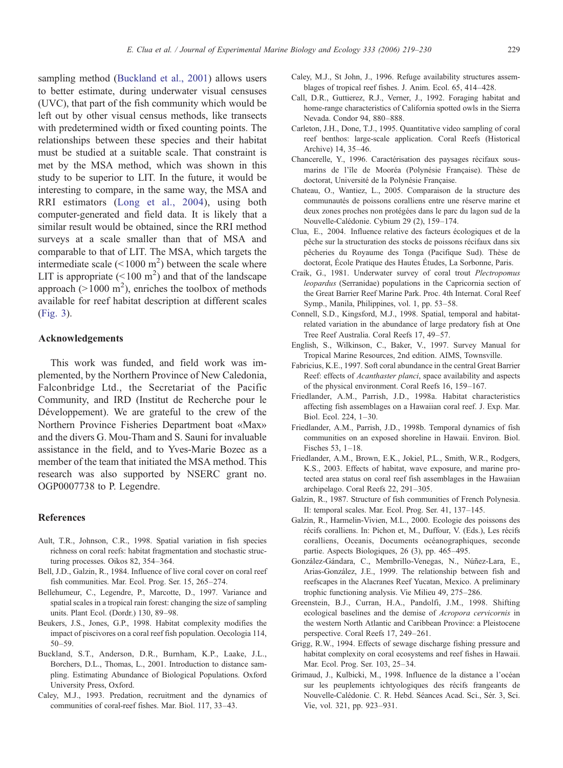<span id="page-10-0"></span>sampling method (Buckland et al., 2001) allows users to better estimate, during underwater visual censuses (UVC), that part of the fish community which would be left out by other visual census methods, like transects with predetermined width or fixed counting points. The relationships between these species and their habitat must be studied at a suitable scale. That constraint is met by the MSA method, which was shown in this study to be superior to LIT. In the future, it would be interesting to compare, in the same way, the MSA and RRI estimators ([Long et al., 2004](#page-11-0)), using both computer-generated and field data. It is likely that a similar result would be obtained, since the RRI method surveys at a scale smaller than that of MSA and comparable to that of LIT. The MSA, which targets the intermediate scale  $(< 1000 \text{ m}^2)$  between the scale where LIT is appropriate  $(< 100 \text{ m}^2)$  and that of the landscape approach ( $> 1000$  m<sup>2</sup>), enriches the toolbox of methods available for reef habitat description at different scales [\(Fig. 3](#page-9-0)).

## Acknowledgements

This work was funded, and field work was implemented, by the Northern Province of New Caledonia, Falconbridge Ltd., the Secretariat of the Pacific Community, and IRD (Institut de Recherche pour le Développement). We are grateful to the crew of the Northern Province Fisheries Department boat «Max» and the divers G. Mou-Tham and S. Sauni for invaluable assistance in the field, and to Yves-Marie Bozec as a member of the team that initiated the MSA method. This research was also supported by NSERC grant no. OGP0007738 to P. Legendre.

## References

- Ault, T.R., Johnson, C.R., 1998. Spatial variation in fish species richness on coral reefs: habitat fragmentation and stochastic structuring processes. Oikos 82, 354–364.
- Bell, J.D., Galzin, R., 1984. Influence of live coral cover on coral reef fish communities. Mar. Ecol. Prog. Ser. 15, 265–274.
- Bellehumeur, C., Legendre, P., Marcotte, D., 1997. Variance and spatial scales in a tropical rain forest: changing the size of sampling units. Plant Ecol. (Dordr.) 130, 89–98.
- Beukers, J.S., Jones, G.P., 1998. Habitat complexity modifies the impact of piscivores on a coral reef fish population. Oecologia 114, 50–59.
- Buckland, S.T., Anderson, D.R., Burnham, K.P., Laake, J.L., Borchers, D.L., Thomas, L., 2001. Introduction to distance sampling. Estimating Abundance of Biological Populations. Oxford University Press, Oxford.
- Caley, M.J., 1993. Predation, recruitment and the dynamics of communities of coral-reef fishes. Mar. Biol. 117, 33–43.
- Caley, M.J., St John, J., 1996. Refuge availability structures assemblages of tropical reef fishes. J. Anim. Ecol. 65, 414–428.
- Call, D.R., Guttierez, R.J., Verner, J., 1992. Foraging habitat and home-range characteristics of California spotted owls in the Sierra Nevada. Condor 94, 880–888.
- Carleton, J.H., Done, T.J., 1995. Quantitative video sampling of coral reef benthos: large-scale application. Coral Reefs (Historical Archive) 14, 35–46.
- Chancerelle, Y., 1996. Caractérisation des paysages récifaux sousmarins de l'île de Mooréa (Polynésie Française). Thèse de doctorat, Université de la Polynésie Française.
- Chateau, O., Wantiez, L., 2005. Comparaison de la structure des communautés de poissons coralliens entre une réserve marine et deux zones proches non protégées dans le parc du lagon sud de la Nouvelle-Calédonie. Cybium 29 (2), 159–174.
- Clua, E., 2004. Influence relative des facteurs écologiques et de la pêche sur la structuration des stocks de poissons récifaux dans six pêcheries du Royaume des Tonga (Pacifique Sud). Thèse de doctorat, École Pratique des Hautes Études, La Sorbonne, Paris.
- Craik, G., 1981. Underwater survey of coral trout Plectropomus leopardus (Serranidae) populations in the Capricornia section of the Great Barrier Reef Marine Park. Proc. 4th Internat. Coral Reef Symp., Manila, Philippines, vol. 1, pp. 53–58.
- Connell, S.D., Kingsford, M.J., 1998. Spatial, temporal and habitatrelated variation in the abundance of large predatory fish at One Tree Reef Australia. Coral Reefs 17, 49–57.
- English, S., Wilkinson, C., Baker, V., 1997. Survey Manual for Tropical Marine Resources, 2nd edition. AIMS, Townsville.
- Fabricius, K.E., 1997. Soft coral abundance in the central Great Barrier Reef: effects of *Acanthaster planci*, space availability and aspects of the physical environment. Coral Reefs 16, 159–167.
- Friedlander, A.M., Parrish, J.D., 1998a. Habitat characteristics affecting fish assemblages on a Hawaiian coral reef. J. Exp. Mar. Biol. Ecol. 224, 1–30.
- Friedlander, A.M., Parrish, J.D., 1998b. Temporal dynamics of fish communities on an exposed shoreline in Hawaii. Environ. Biol. Fisches 53, 1–18.
- Friedlander, A.M., Brown, E.K., Jokiel, P.L., Smith, W.R., Rodgers, K.S., 2003. Effects of habitat, wave exposure, and marine protected area status on coral reef fish assemblages in the Hawaiian archipelago. Coral Reefs 22, 291–305.
- Galzin, R., 1987. Structure of fish communities of French Polynesia. II: temporal scales. Mar. Ecol. Prog. Ser. 41, 137–145.
- Galzin, R., Harmelin-Vivien, M.L., 2000. Ecologie des poissons des récifs coralliens. In: Pichon et, M., Duffour, V. (Eds.), Les récifs coralliens, Oceanis, Documents océanographiques, seconde partie. Aspects Biologiques, 26 (3), pp. 465–495.
- González-Gándara, C., Membrillo-Venegas, N., Núñez-Lara, E., Arias-González, J.E., 1999. The relationship between fish and reefscapes in the Alacranes Reef Yucatan, Mexico. A preliminary trophic functioning analysis. Vie Milieu 49, 275–286.
- Greenstein, B.J., Curran, H.A., Pandolfi, J.M., 1998. Shifting ecological baselines and the demise of Acropora cervicornis in the western North Atlantic and Caribbean Province: a Pleistocene perspective. Coral Reefs 17, 249–261.
- Grigg, R.W., 1994. Effects of sewage discharge fishing pressure and habitat complexity on coral ecosystems and reef fishes in Hawaii. Mar. Ecol. Prog. Ser. 103, 25–34.
- Grimaud, J., Kulbicki, M., 1998. Influence de la distance a l'océan sur les peuplements ichtyologiques des récifs frangeants de Nouvelle-Calédonie. C. R. Hebd. Séances Acad. Sci., Sér. 3, Sci. Vie, vol. 321, pp. 923–931.